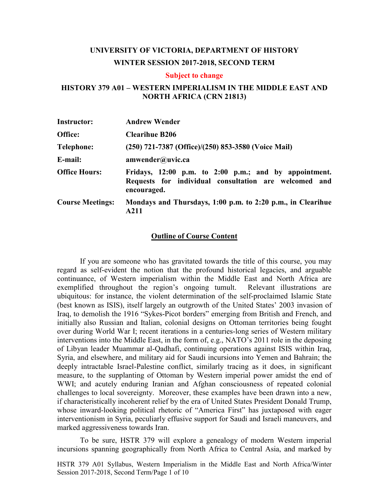# **UNIVERSITY OF VICTORIA, DEPARTMENT OF HISTORY WINTER SESSION 2017-2018, SECOND TERM**

### **Subject to change**

## **HISTORY 379 A01 – WESTERN IMPERIALISM IN THE MIDDLE EAST AND NORTH AFRICA (CRN 21813)**

| <b>Instructor:</b>      | <b>Andrew Wender</b>                                                                                                          |  |  |
|-------------------------|-------------------------------------------------------------------------------------------------------------------------------|--|--|
| Office:                 | <b>Clearihue B206</b>                                                                                                         |  |  |
| <b>Telephone:</b>       | (250) 721-7387 (Office)/(250) 853-3580 (Voice Mail)                                                                           |  |  |
| E-mail:                 | amwender@uvic.ca                                                                                                              |  |  |
| <b>Office Hours:</b>    | Fridays, 12:00 p.m. to 2:00 p.m.; and by appointment.<br>Requests for individual consultation are welcomed and<br>encouraged. |  |  |
| <b>Course Meetings:</b> | Mondays and Thursdays, 1:00 p.m. to 2:20 p.m., in Clearihue<br>A211                                                           |  |  |

### **Outline of Course Content**

If you are someone who has gravitated towards the title of this course, you may regard as self-evident the notion that the profound historical legacies, and arguable continuance, of Western imperialism within the Middle East and North Africa are exemplified throughout the region's ongoing tumult. Relevant illustrations are ubiquitous: for instance, the violent determination of the self-proclaimed Islamic State (best known as ISIS), itself largely an outgrowth of the United States' 2003 invasion of Iraq, to demolish the 1916 "Sykes-Picot borders" emerging from British and French, and initially also Russian and Italian, colonial designs on Ottoman territories being fought over during World War I; recent iterations in a centuries-long series of Western military interventions into the Middle East, in the form of, e.g., NATO's 2011 role in the deposing of Libyan leader Muammar al-Qadhafi, continuing operations against ISIS within Iraq, Syria, and elsewhere, and military aid for Saudi incursions into Yemen and Bahrain; the deeply intractable Israel-Palestine conflict, similarly tracing as it does, in significant measure, to the supplanting of Ottoman by Western imperial power amidst the end of WWI; and acutely enduring Iranian and Afghan consciousness of repeated colonial challenges to local sovereignty. Moreover, these examples have been drawn into a new, if characteristically incoherent relief by the era of United States President Donald Trump, whose inward-looking political rhetoric of "America First" has juxtaposed with eager interventionism in Syria, peculiarly effusive support for Saudi and Israeli maneuvers, and marked aggressiveness towards Iran.

To be sure, HSTR 379 will explore a genealogy of modern Western imperial incursions spanning geographically from North Africa to Central Asia, and marked by

HSTR 379 A01 Syllabus, Western Imperialism in the Middle East and North Africa/Winter Session 2017-2018, Second Term/Page 1 of 10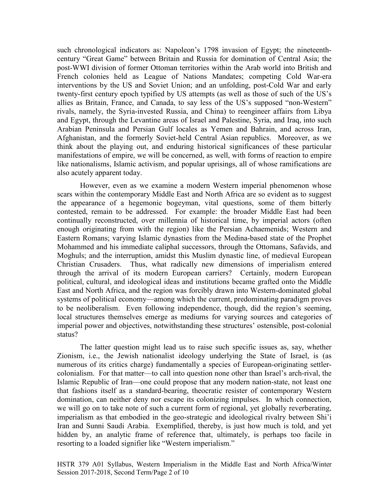such chronological indicators as: Napoleon's 1798 invasion of Egypt; the nineteenthcentury "Great Game" between Britain and Russia for domination of Central Asia; the post-WWI division of former Ottoman territories within the Arab world into British and French colonies held as League of Nations Mandates; competing Cold War-era interventions by the US and Soviet Union; and an unfolding, post-Cold War and early twenty-first century epoch typified by US attempts (as well as those of such of the US's allies as Britain, France, and Canada, to say less of the US's supposed "non-Western" rivals, namely, the Syria-invested Russia, and China) to reengineer affairs from Libya and Egypt, through the Levantine areas of Israel and Palestine, Syria, and Iraq, into such Arabian Peninsula and Persian Gulf locales as Yemen and Bahrain, and across Iran, Afghanistan, and the formerly Soviet-held Central Asian republics. Moreover, as we think about the playing out, and enduring historical significances of these particular manifestations of empire, we will be concerned, as well, with forms of reaction to empire like nationalisms, Islamic activism, and popular uprisings, all of whose ramifications are also acutely apparent today.

However, even as we examine a modern Western imperial phenomenon whose scars within the contemporary Middle East and North Africa are so evident as to suggest the appearance of a hegemonic bogeyman, vital questions, some of them bitterly contested, remain to be addressed. For example: the broader Middle East had been continually reconstructed, over millennia of historical time, by imperial actors (often enough originating from with the region) like the Persian Achaemenids; Western and Eastern Romans; varying Islamic dynasties from the Medina-based state of the Prophet Mohammed and his immediate caliphal successors, through the Ottomans, Safavids, and Moghuls; and the interruption, amidst this Muslim dynastic line, of medieval European Christian Crusaders. Thus, what radically new dimensions of imperialism entered through the arrival of its modern European carriers? Certainly, modern European political, cultural, and ideological ideas and institutions became grafted onto the Middle East and North Africa, and the region was forcibly drawn into Western-dominated global systems of political economy—among which the current, predominating paradigm proves to be neoliberalism. Even following independence, though, did the region's seeming, local structures themselves emerge as mediums for varying sources and categories of imperial power and objectives, notwithstanding these structures' ostensible, post-colonial status?

The latter question might lead us to raise such specific issues as, say, whether Zionism, i.e., the Jewish nationalist ideology underlying the State of Israel, is (as numerous of its critics charge) fundamentally a species of European-originating settlercolonialism. For that matter—to call into question none other than Israel's arch-rival, the Islamic Republic of Iran—one could propose that any modern nation-state, not least one that fashions itself as a standard-bearing, theocratic resister of contemporary Western domination, can neither deny nor escape its colonizing impulses. In which connection, we will go on to take note of such a current form of regional, yet globally reverberating, imperialism as that embodied in the geo-strategic and ideological rivalry between Shi'i Iran and Sunni Saudi Arabia. Exemplified, thereby, is just how much is told, and yet hidden by, an analytic frame of reference that, ultimately, is perhaps too facile in resorting to a loaded signifier like "Western imperialism."

HSTR 379 A01 Syllabus, Western Imperialism in the Middle East and North Africa/Winter Session 2017-2018, Second Term/Page 2 of 10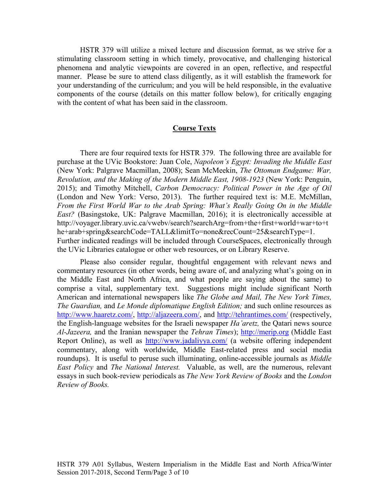HSTR 379 will utilize a mixed lecture and discussion format, as we strive for a stimulating classroom setting in which timely, provocative, and challenging historical phenomena and analytic viewpoints are covered in an open, reflective, and respectful manner. Please be sure to attend class diligently, as it will establish the framework for your understanding of the curriculum; and you will be held responsible, in the evaluative components of the course (details on this matter follow below), for critically engaging with the content of what has been said in the classroom.

### **Course Texts**

There are four required texts for HSTR 379. The following three are available for purchase at the UVic Bookstore: Juan Cole, *Napoleon's Egypt: Invading the Middle East*  (New York: Palgrave Macmillan, 2008); Sean McMeekin, *The Ottoman Endgame: War, Revolution, and the Making of the Modern Middle East, 1908-1923* (New York: Penguin, 2015); and Timothy Mitchell, *Carbon Democracy: Political Power in the Age of Oil*  (London and New York: Verso, 2013). The further required text is: M.E. McMillan, *From the First World War to the Arab Spring: What's Really Going On in the Middle East?* (Basingstoke, UK: Palgrave Macmillan, 2016); it is electronically accessible at http://voyager.library.uvic.ca/vwebv/search?searchArg=from+the+first+world+war+to+t he+arab+spring&searchCode=TALL&limitTo=none&recCount=25&searchType=1. Further indicated readings will be included through CourseSpaces, electronically through the UVic Libraries catalogue or other web resources, or on Library Reserve.

Please also consider regular, thoughtful engagement with relevant news and commentary resources (in other words, being aware of, and analyzing what's going on in the Middle East and North Africa, and what people are saying about the same) to comprise a vital, supplementary text. Suggestions might include significant North American and international newspapers like *The Globe and Mail, The New York Times, The Guardian,* and *Le Monde diplomatique English Edition;* and such online resources as [http://www.haaretz.com/,](http://www.haaretz.com/) [http://aljazeera.com/,](http://aljazeera.com/) and<http://tehrantimes.com/> (respectively, the English-language websites for the Israeli newspaper *Ha'aretz,* the Qatari news source *Al-Jazeera,* and the Iranian newspaper the *Tehran Times*); [http://merip.org](http://merip.org/) (Middle East Report Online), as well as <http://www.jadaliyya.com/> (a website offering independent commentary, along with worldwide, Middle East-related press and social media roundups). It is useful to peruse such illuminating, online-accessible journals as *Middle East Policy* and *The National Interest.* Valuable, as well, are the numerous, relevant essays in such book-review periodicals as *The New York Review of Books* and the *London Review of Books.*

HSTR 379 A01 Syllabus, Western Imperialism in the Middle East and North Africa/Winter Session 2017-2018, Second Term/Page 3 of 10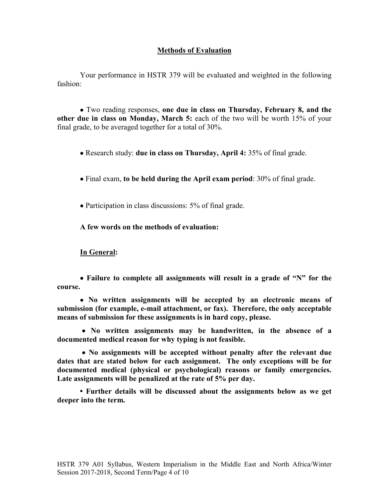## **Methods of Evaluation**

Your performance in HSTR 379 will be evaluated and weighted in the following fashion:

• Two reading responses, **one due in class on Thursday, February 8, and the other due in class on Monday, March 5:** each of the two will be worth 15% of your final grade, to be averaged together for a total of 30%.

- Research study: **due in class on Thursday, April 4:** 35% of final grade.
- Final exam, **to be held during the April exam period**: 30% of final grade.
- Participation in class discussions: 5% of final grade.

**A few words on the methods of evaluation:**

### **In General:**

• **Failure to complete all assignments will result in a grade of "N" for the course.**

• **No written assignments will be accepted by an electronic means of submission (for example, e-mail attachment, or fax). Therefore, the only acceptable means of submission for these assignments is in hard copy, please.**

• **No written assignments may be handwritten, in the absence of a documented medical reason for why typing is not feasible.**

• **No assignments will be accepted without penalty after the relevant due dates that are stated below for each assignment. The only exceptions will be for documented medical (physical or psychological) reasons or family emergencies. Late assignments will be penalized at the rate of 5% per day.** 

**• Further details will be discussed about the assignments below as we get deeper into the term.**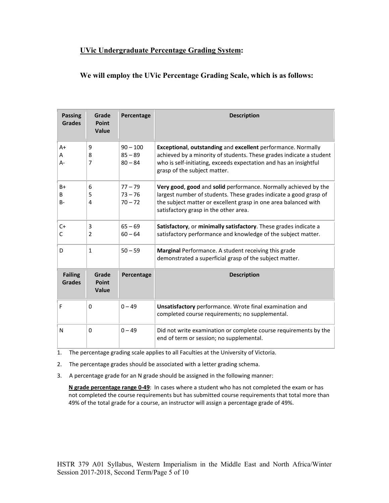## **UVic Undergraduate Percentage Grading System:**

## **We will employ the UVic Percentage Grading Scale, which is as follows:**

| <b>Passing</b><br><b>Grades</b> | Grade<br>Point<br>Value        | Percentage                           | <b>Description</b>                                                                                                                                                                                                                               |  |
|---------------------------------|--------------------------------|--------------------------------------|--------------------------------------------------------------------------------------------------------------------------------------------------------------------------------------------------------------------------------------------------|--|
| $A+$<br>A<br>A-                 | 9<br>8<br>7                    | $90 - 100$<br>$85 - 89$<br>$80 - 84$ | Exceptional, outstanding and excellent performance. Normally<br>achieved by a minority of students. These grades indicate a student<br>who is self-initiating, exceeds expectation and has an insightful<br>grasp of the subject matter.         |  |
| $B+$<br>B<br>$B -$              | 6<br>5<br>4                    | $77 - 79$<br>$73 - 76$<br>$70 - 72$  | Very good, good and solid performance. Normally achieved by the<br>largest number of students. These grades indicate a good grasp of<br>the subject matter or excellent grasp in one area balanced with<br>satisfactory grasp in the other area. |  |
| $C+$<br>C                       | 3<br>2                         | $65 - 69$<br>$60 - 64$               | Satisfactory, or minimally satisfactory. These grades indicate a<br>satisfactory performance and knowledge of the subject matter.                                                                                                                |  |
| D                               | $\mathbf{1}$                   | $50 - 59$                            | Marginal Performance. A student receiving this grade<br>demonstrated a superficial grasp of the subject matter.                                                                                                                                  |  |
| <b>Failing</b><br><b>Grades</b> | Grade<br>Point<br><b>Value</b> | Percentage                           | <b>Description</b>                                                                                                                                                                                                                               |  |
| F                               | $\Omega$                       | $0 - 49$                             | Unsatisfactory performance. Wrote final examination and<br>completed course requirements; no supplemental.                                                                                                                                       |  |
| N                               | 0                              | $0 - 49$                             | Did not write examination or complete course requirements by the<br>end of term or session; no supplemental.                                                                                                                                     |  |

1. The percentage grading scale applies to all Faculties at the University of Victoria.

- 2. The percentage grades should be associated with a letter grading schema.
- 3. A percentage grade for an N grade should be assigned in the following manner:

 **N grade percentage range 0-49**: In cases where a student who has not completed the exam or has not completed the course requirements but has submitted course requirements that total more than 49% of the total grade for a course, an instructor will assign a percentage grade of 49%.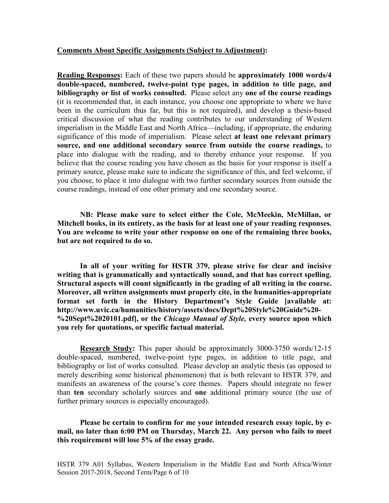### **Comments About Specific Assignments (Subject to Adjustment):**

**Reading Responses:** Each of these two papers should be **approximately 1000 words/4 double-spaced, numbered, twelve-point type pages, in addition to title page, and bibliography or list of works consulted.** Please select any **one of the course readings** (it is recommended that, in each instance, you choose one appropriate to where we have been in the curriculum thus far, but this is not required), and develop a thesis-based critical discussion of what the reading contributes to our understanding of Western imperialism in the Middle East and North Africa—including, if appropriate, the enduring significance of this mode of imperialism. Please select **at least one relevant primary source, and one additional secondary source from outside the course readings,** to place into dialogue with the reading, and to thereby enhance your response. If you believe that the course reading you have chosen as the basis for your response is itself a primary source, please make sure to indicate the significance of this, and feel welcome, if you choose, to place it into dialogue with two further secondary sources from outside the course readings, instead of one other primary and one secondary source.

**NB: Please make sure to select either the Cole, McMeekin, McMillan, or Mitchell books, in its entirety, as the basis for at least one of your reading responses. You are welcome to write your other response on one of the remaining three books, but are not required to do so.** 

**In all of your writing for HSTR 379, please strive for clear and incisive writing that is grammatically and syntactically sound, and that has correct spelling. Structural aspects will count significantly in the grading of all writing in the course. Moreover, all written assignments must properly cite, in the humanities-appropriate format set forth in the History Department's Style Guide [available at: http://www.uvic.ca/humanities/history/assets/docs/Dept%20Style%20Guide%20- %20Sept%2020101.pdf], or the** *Chicago Manual of Style,* **every source upon which you rely for quotations, or specific factual material.**

**Research Study:** This paper should be approximately 3000-3750 words/12-15 double-spaced, numbered, twelve-point type pages, in addition to title page, and bibliography or list of works consulted. Please develop an analytic thesis (as opposed to merely describing some historical phenomenon) that is both relevant to HSTR 379, and manifests an awareness of the course's core themes. Papers should integrate no fewer than **ten** secondary scholarly sources and **one** additional primary source (the use of further primary sources is especially encouraged).

## **Please be certain to confirm for me your intended research essay topic, by email, no later than 6:00 PM on Thursday, March 22. Any person who fails to meet this requirement will lose 5% of the essay grade.**

HSTR 379 A01 Syllabus, Western Imperialism in the Middle East and North Africa/Winter Session 2017-2018, Second Term/Page  $\overline{6}$  of 10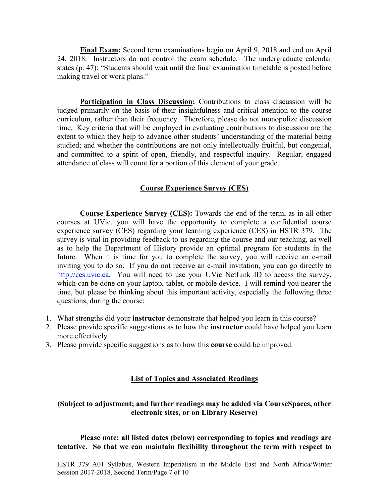**Final Exam:** Second term examinations begin on April 9, 2018 and end on April 24, 2018. Instructors do not control the exam schedule. The undergraduate calendar states (p. 47): "Students should wait until the final examination timetable is posted before making travel or work plans."

**Participation in Class Discussion:** Contributions to class discussion will be judged primarily on the basis of their insightfulness and critical attention to the course curriculum, rather than their frequency. Therefore, please do not monopolize discussion time. Key criteria that will be employed in evaluating contributions to discussion are the extent to which they help to advance other students' understanding of the material being studied; and whether the contributions are not only intellectually fruitful, but congenial, and committed to a spirit of open, friendly, and respectful inquiry. Regular, engaged attendance of class will count for a portion of this element of your grade.

## **Course Experience Survey (CES)**

**Course Experience Survey (CES):** Towards the end of the term, as in all other courses at UVic, you will have the opportunity to complete a confidential course experience survey (CES) regarding your learning experience (CES) in HSTR 379. The survey is vital in providing feedback to us regarding the course and our teaching, as well as to help the Department of History provide an optimal program for students in the future. When it is time for you to complete the survey, you will receive an e-mail inviting you to do so. If you do not receive an e-mail invitation, you can go directly to [http://ces.uvic.ca.](http://ces.uvic.ca/) You will need to use your UVic NetLink ID to access the survey, which can be done on your laptop, tablet, or mobile device. I will remind you nearer the time, but please be thinking about this important activity, especially the following three questions, during the course:

- 1. What strengths did your **instructor** demonstrate that helped you learn in this course?
- 2. Please provide specific suggestions as to how the **instructor** could have helped you learn more effectively.
- 3. Please provide specific suggestions as to how this **course** could be improved.

### **List of Topics and Associated Readings**

## **(Subject to adjustment; and further readings may be added via CourseSpaces, other electronic sites, or on Library Reserve)**

**Please note: all listed dates (below) corresponding to topics and readings are tentative. So that we can maintain flexibility throughout the term with respect to** 

HSTR 379 A01 Syllabus, Western Imperialism in the Middle East and North Africa/Winter Session 2017-2018, Second Term/Page 7 of 10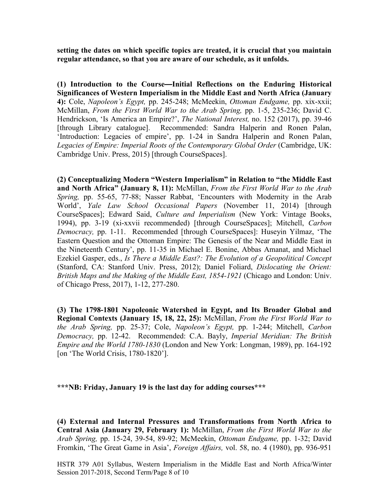**setting the dates on which specific topics are treated, it is crucial that you maintain regular attendance, so that you are aware of our schedule, as it unfolds.** 

**(1) Introduction to the Course—Initial Reflections on the Enduring Historical Significances of Western Imperialism in the Middle East and North Africa (January 4):** Cole, *Napoleon's Egypt,* pp. 245-248; McMeekin, *Ottoman Endgame,* pp. xix-xxii; McMillan, *From the First World War to the Arab Spring,* pp. 1-5, 235-236; David C. Hendrickson, 'Is America an Empire?', *The National Interest,* no. 152 (2017), pp. 39-46 [through Library catalogue]. Recommended: Sandra Halperin and Ronen Palan, 'Introduction: Legacies of empire', pp. 1-24 in Sandra Halperin and Ronen Palan, Legacies of Empire: Imperial Roots of the Contemporary Global Order (Cambridge, UK: Cambridge Univ. Press, 2015) [through CourseSpaces].

**(2) Conceptualizing Modern "Western Imperialism" in Relation to "the Middle East and North Africa" (January 8, 11):** McMillan, *From the First World War to the Arab Spring,* pp. 55-65, 77-88; Nasser Rabbat, 'Encounters with Modernity in the Arab World', *Yale Law School Occasional Papers* (November 11, 2014) [through CourseSpaces]; Edward Said, *Culture and Imperialism* (New York: Vintage Books, 1994), pp. 3-19 (xi-xxvii recommended) [through CourseSpaces]; Mitchell, *Carbon Democracy,* pp. 1-11. Recommended [through CourseSpaces]: Huseyin Yilmaz, 'The Eastern Question and the Ottoman Empire: The Genesis of the Near and Middle East in the Nineteenth Century', pp. 11-35 in Michael E. Bonine, Abbas Amanat, and Michael Ezekiel Gasper, eds., *Is There a Middle East?: The Evolution of a Geopolitical Concept*  (Stanford, CA: Stanford Univ. Press, 2012); Daniel Foliard, *Dislocating the Orient: British Maps and the Making of the Middle East, 1854-1921* (Chicago and London: Univ. of Chicago Press, 2017), 1-12, 277-280.

**(3) The 1798-1801 Napoleonic Watershed in Egypt, and Its Broader Global and Regional Contexts (January 15, 18, 22, 25):** McMillan, *From the First World War to the Arab Spring,* pp. 25-37; Cole, *Napoleon's Egypt,* pp. 1-244; Mitchell, *Carbon Democracy,* pp. 12-42. Recommended: C.A. Bayly, *Imperial Meridian: The British Empire and the World 1780-1830* (London and New York: Longman, 1989), pp. 164-192 [on 'The World Crisis, 1780-1820'].

**\*\*\*NB: Friday, January 19 is the last day for adding courses\*\*\***

**(4) External and Internal Pressures and Transformations from North Africa to Central Asia (January 29, February 1):** McMillan, *From the First World War to the Arab Spring,* pp. 15-24, 39-54, 89-92; McMeekin, *Ottoman Endgame,* pp. 1-32; David Fromkin, 'The Great Game in Asia', *Foreign Affairs,* vol. 58, no. 4 (1980), pp. 936-951

HSTR 379 A01 Syllabus, Western Imperialism in the Middle East and North Africa/Winter Session 2017-2018, Second Term/Page 8 of 10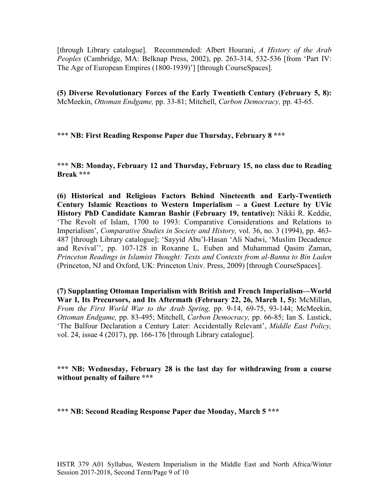[through Library catalogue]. Recommended: Albert Hourani, *A History of the Arab Peoples* (Cambridge, MA: Belknap Press, 2002), pp. 263-314, 532-536 [from 'Part IV: The Age of European Empires (1800-1939)'] [through CourseSpaces].

**(5) Diverse Revolutionary Forces of the Early Twentieth Century (February 5, 8):**  McMeekin, *Ottoman Endgame,* pp. 33-81; Mitchell, *Carbon Democracy,* pp. 43-65.

\*\*\* **NB: First Reading Response Paper due Thursday, February 8 \*\*\***

\*\*\* **NB: Monday, February 12 and Thursday, February 15, no class due to Reading Break \*\*\***

**(6) Historical and Religious Factors Behind Nineteenth and Early-Twentieth Century Islamic Reactions to Western Imperialism – a Guest Lecture by UVic History PhD Candidate Kamran Bashir (February 19, tentative):** Nikki R. Keddie, 'The Revolt of Islam, 1700 to 1993: Comparative Considerations and Relations to Imperialism', *Comparative Studies in Society and History,* vol. 36, no. 3 (1994), pp. 463- 487 [through Library catalogue]; 'Sayyid Abu'l-Hasan 'Ali Nadwi, 'Muslim Decadence and Revival'', pp. 107-128 in Roxanne L. Euben and Muhammad Qasim Zaman, *Princeton Readings in Islamist Thought: Texts and Contexts from al-Banna to Bin Laden*  (Princeton, NJ and Oxford, UK: Princeton Univ. Press, 2009) [through CourseSpaces].

**(7) Supplanting Ottoman Imperialism with British and French Imperialism—World War I, Its Precursors, and Its Aftermath (February 22, 26, March 1, 5):** McMillan, *From the First World War to the Arab Spring,* pp. 9-14, 69-75, 93-144; McMeekin, *Ottoman Endgame,* pp. 83-495; Mitchell, *Carbon Democracy,* pp. 66-85; Ian S. Lustick, 'The Balfour Declaration a Century Later: Accidentally Relevant', *Middle East Policy,*  vol. 24, issue 4 (2017), pp. 166-176 [through Library catalogue].

**\*\*\* NB: Wednesday, February 28 is the last day for withdrawing from a course without penalty of failure \*\*\***

\*\*\* **NB: Second Reading Response Paper due Monday, March 5 \*\*\***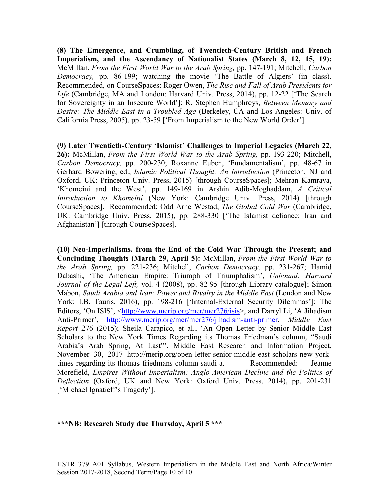**(8) The Emergence, and Crumbling, of Twentieth-Century British and French Imperialism, and the Ascendancy of Nationalist States (March 8, 12, 15, 19):**  McMillan, *From the First World War to the Arab Spring,* pp. 147-191; Mitchell, *Carbon Democracy,* pp. 86-199; watching the movie 'The Battle of Algiers' (in class). Recommended, on CourseSpaces: Roger Owen, *The Rise and Fall of Arab Presidents for Life* (Cambridge, MA and London: Harvard Univ. Press, 2014), pp. 12-22 ['The Search for Sovereignty in an Insecure World']; R. Stephen Humphreys, *Between Memory and Desire: The Middle East in a Troubled Age* (Berkeley, CA and Los Angeles: Univ. of California Press, 2005), pp. 23-59 ['From Imperialism to the New World Order'].

**(9) Later Twentieth-Century 'Islamist' Challenges to Imperial Legacies (March 22, 26):** McMillan, *From the First World War to the Arab Spring,* pp. 193-220; Mitchell, *Carbon Democracy,* pp. 200-230; Roxanne Euben, 'Fundamentalism', pp. 48-67 in Gerhard Bowering, ed., *Islamic Political Thought: An Introduction* (Princeton, NJ and Oxford, UK: Princeton Univ. Press, 2015) [through CourseSpaces]; Mehran Kamrava, 'Khomeini and the West', pp. 149-169 in Arshin Adib-Moghaddam, *A Critical Introduction to Khomeini* (New York: Cambridge Univ. Press, 2014) [through CourseSpaces]. Recommended: Odd Arne Westad, *The Global Cold War* (Cambridge, UK: Cambridge Univ. Press, 2015), pp. 288-330 ['The Islamist defiance: Iran and Afghanistan'] [through CourseSpaces].

**(10) Neo-Imperialisms, from the End of the Cold War Through the Present; and Concluding Thoughts (March 29, April 5):** McMillan, *From the First World War to the Arab Spring,* pp. 221-236; Mitchell, *Carbon Democracy,* pp. 231-267; Hamid Dabashi, 'The American Empire: Triumph of Triumphalism', *Unbound: Harvard Journal of the Legal Left,* vol. 4 (2008), pp. 82-95 [through Library catalogue]; Simon Mabon, *Saudi Arabia and Iran: Power and Rivalry in the Middle East* (London and New York: I.B. Tauris, 2016), pp. 198-216 ['Internal-External Security Dilemmas']; The Editors, 'On ISIS', [<http://www.merip.org/mer/mer276/isis>](http://www.merip.org/mer/mer276/isis), and Darryl Li, 'A Jihadism Anti-Primer', [http://www.merip.org/mer/mer276/jihadism-anti-primer,](http://www.merip.org/mer/mer276/jihadism-anti-primer) *Middle East Report* 276 (2015); Sheila Carapico, et al., 'An Open Letter by Senior Middle East Scholars to the New York Times Regarding its Thomas Friedman's column, "Saudi Arabia's Arab Spring, At Last"', Middle East Research and Information Project, November 30, 2017 http://merip.org/open-letter-senior-middle-east-scholars-new-yorktimes-regarding-its-thomas-friedmans-column-saudi-a. Recommended: Jeanne Morefield, *Empires Without Imperialism: Anglo-American Decline and the Politics of Deflection* (Oxford, UK and New York: Oxford Univ. Press, 2014), pp. 201-231 ['Michael Ignatieff's Tragedy'].

### **\*\*\*NB: Research Study due Thursday, April 5 \*\*\***

HSTR 379 A01 Syllabus, Western Imperialism in the Middle East and North Africa/Winter Session 2017-2018, Second Term/Page 10 of 10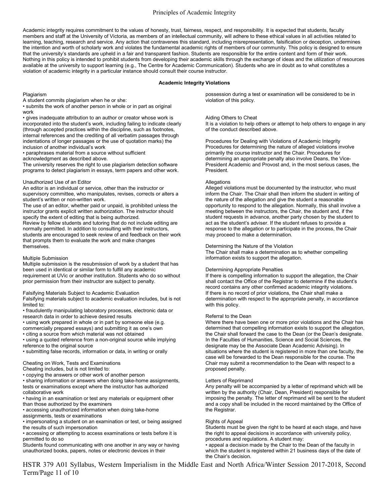### Principles of Academic Integrity

Academic integrity requires commitment to the values of honesty, trust, fairness, respect, and responsibility. It is expected that students, faculty members and staff at the University of Victoria, as members of an intellectual community, will adhere to these ethical values in all activities related to learning, teaching, research and service. Any action that contravenes this standard, including misrepresentation, falsification or deception, undermines the intention and worth of scholarly work and violates the fundamental academic rights of members of our community. This policy is designed to ensure that the university's standards are upheld in a fair and transparent fashion. Students are responsible for the entire content and form of their work. Nothing in this policy is intended to prohibit students from developing their academic skills through the exchange of ideas and the utilization of resources available at the university to support learning (e.g., The Centre for Academic Communication). Students who are in doubt as to what constitutes a violation of academic integrity in a particular instance should consult their course instructor.

#### **Academic Integrity Violations**

Plagiarism

A student commits plagiarism when he or she:

• submits the work of another person in whole or in part as original work

• gives inadequate attribution to an author or creator whose work is incorporated into the student's work, including failing to indicate clearly (through accepted practices within the discipline, such as footnotes, internal references and the crediting of all verbatim passages through indentations of longer passages or the use of quotation marks) the inclusion of another individual's work

• paraphrases material from a source without sufficient

acknowledgment as described above.

The university reserves the right to use plagiarism detection software programs to detect plagiarism in essays, term papers and other work.

#### Unauthorized Use of an Editor

An editor is an individual or service, other than the instructor or supervisory committee, who manipulates, revises, corrects or alters a student's written or non-written work.

The use of an editor, whether paid or unpaid, is prohibited unless the instructor grants explicit written authorization. The instructor should specify the extent of editing that is being authorized.

Review by fellow students and tutoring that do not include editing are normally permitted. In addition to consulting with their instructors, students are encouraged to seek review of and feedback on their work that prompts them to evaluate the work and make changes themselves.

#### Multiple Submission

Multiple submission is the resubmission of work by a student that has been used in identical or similar form to fulfill any academic requirement at UVic or another institution. Students who do so without prior permission from their instructor are subject to penalty.

#### Falsifying Materials Subject to Academic Evaluation

Falsifying materials subject to academic evaluation includes, but is not limited to:

• fraudulently manipulating laboratory processes, electronic data or research data in order to achieve desired results

• using work prepared in whole or in part by someone else (e.g.

commercially prepared essays) and submitting it as one's own • citing a source from which material was not obtained

• using a quoted reference from a non-original source while implying reference to the original source

• submitting false records, information or data, in writing or orally

#### Cheating on Work, Tests and Examinations

Cheating includes, but is not limited to:

• copying the answers or other work of another person

• sharing information or answers when doing take-home assignments, tests or examinations except where the instructor has authorized collaborative work

• having in an examination or test any materials or equipment other than those authorized by the examiners

• accessing unauthorized information when doing take-home

assignments, tests or examinations

• impersonating a student on an examination or test, or being assigned the results of such impersonation

• accessing or attempting to access examinations or tests before it is permitted to do so

Students found communicating with one another in any way or having unauthorized books, papers, notes or electronic devices in their

possession during a test or examination will be considered to be in violation of this policy.

#### Aiding Others to Cheat

It is a violation to help others or attempt to help others to engage in any of the conduct described above.

Procedures for Dealing with Violations of Academic Integrity Procedures for determining the nature of alleged violations involve primarily the course instructor and the Chair. Procedures for determining an appropriate penalty also involve Deans, the Vice-President Academic and Provost and, in the most serious cases, the President.

#### **Allegations**

Alleged violations must be documented by the instructor, who must inform the Chair. The Chair shall then inform the student in writing of the nature of the allegation and give the student a reasonable opportunity to respond to the allegation. Normally, this shall involve a meeting between the instructors, the Chair, the student and, if the student requests in advance, another party chosen by the student to act as the student's adviser. If the student refuses to provide a response to the allegation or to participate in the process, the Chair may proceed to make a determination.

#### Determining the Nature of the Violation

The Chair shall make a determination as to whether compelling information exists to support the allegation.

#### Determining Appropriate Penalties

If there is compelling information to support the allegation, the Chair shall contact the Office of the Registrar to determine if the student's record contains any other confirmed academic integrity violations. If there is no record of prior violations, the Chair shall make a determination with respect to the appropriate penalty, in accordance with this policy.

#### Referral to the Dean

Where there have been one or more prior violations and the Chair has determined that compelling information exists to support the allegation, the Chair shall forward the case to the Dean (or the Dean's designate. In the Faculties of Humanities, Science and Social Sciences, the designate may be the Associate Dean Academic Advising). In situations where the student is registered in more than one faculty, the case will be forwarded to the Dean responsible for the course. The Chair may submit a recommendation to the Dean with respect to a proposed penalty.

#### Letters of Reprimand

Any penalty will be accompanied by a letter of reprimand which will be written by the authority (Chair, Dean, President) responsible for imposing the penalty. The letter of reprimand will be sent to the student and a copy shall be included in the record maintained by the Office of the Registrar.

#### Rights of Appeal

Students must be given the right to be heard at each stage, and have the right to appeal decisions in accordance with university policy, procedures and regulations. A student may:

• appeal a decision made by the Chair to the Dean of the faculty in which the student is registered within 21 business days of the date of the Chair's decision.

HSTR 379 A01 Syllabus, Western Imperialism in the Middle East and North Africa/Winter Session 2017-2018, Second Term/Page 11 of 10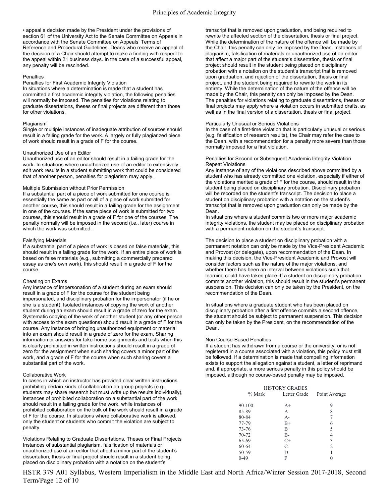• appeal a decision made by the President under the provisions of section 61 of the University Act to the Senate Committee on Appeals in accordance with the Senate Committee on Appeals' Terms of Reference and Procedural Guidelines. Deans who receive an appeal of the decision of a Chair should attempt to make a finding with respect to the appeal within 21 business days. In the case of a successful appeal, any penalty will be rescinded.

#### **Penalties**

Penalties for First Academic Integrity Violation In situations where a determination is made that a student has

committed a first academic integrity violation, the following penalties will normally be imposed. The penalties for violations relating to graduate dissertations, theses or final projects are different than those for other violations.

#### Plagiarism

Single or multiple instances of inadequate attribution of sources should result in a failing grade for the work. A largely or fully plagiarized piece of work should result in a grade of F for the course.

#### Unauthorized Use of an Editor

Unauthorized use of an editor should result in a failing grade for the work. In situations where unauthorized use of an editor to extensively edit work results in a student submitting work that could be considered that of another person, penalties for plagiarism may apply.

#### Multiple Submission without Prior Permission

If a substantial part of a piece of work submitted for one course is essentially the same as part or all of a piece of work submitted for another course, this should result in a failing grade for the assignment in one of the courses. If the same piece of work is submitted for two courses, this should result in a grade of F for one of the courses. The penalty normally will be imposed in the second (i.e., later) course in which the work was submitted.

#### Falsifying Materials

If a substantial part of a piece of work is based on false materials, this should result in a failing grade for the work. If an entire piece of work is based on false materials (e.g., submitting a commercially prepared essay as one's own work), this should result in a grade of F for the course.

#### Cheating on Exams

Any instance of impersonation of a student during an exam should result in a grade of F for the course for the student being impersonated, and disciplinary probation for the impersonator (if he or she is a student). Isolated instances of copying the work of another student during an exam should result in a grade of zero for the exam. Systematic copying of the work of another student (or any other person with access to the exam questions) should result in a grade of F for the course. Any instance of bringing unauthorized equipment or material into an exam should result in a grade of zero for the exam. Sharing information or answers for take-home assignments and tests when this is clearly prohibited in written instructions should result in a grade of zero for the assignment when such sharing covers a minor part of the work, and a grade of F for the course when such sharing covers a substantial part of the work.

#### Collaborative Work

In cases in which an instructor has provided clear written instructions prohibiting certain kinds of collaboration on group projects (e.g. students may share research but must write up the results individually), instances of prohibited collaboration on a substantial part of the work should result in a failing grade for the work, while instances of prohibited collaboration on the bulk of the work should result in a grade of F for the course. In situations where collaborative work is allowed, only the student or students who commit the violation are subject to penalty.

Violations Relating to Graduate Dissertations, Theses or Final Projects Instances of substantial plagiarism, falsification of materials or unauthorized use of an editor that affect a minor part of the student's dissertation, thesis or final project should result in a student being placed on disciplinary probation with a notation on the student's

transcript that is removed upon graduation, and being required to rewrite the affected section of the dissertation, thesis or final project. While the determination of the nature of the offence will be made by the Chair, this penalty can only be imposed by the Dean. Instances of plagiarism, falsification of materials or unauthorized use of an editor that affect a major part of the student's dissertation, thesis or final project should result in the student being placed on disciplinary probation with a notation on the student's transcript that is removed upon graduation, and rejection of the dissertation, thesis or final project, and the student being required to rewrite the work in its entirety. While the determination of the nature of the offence will be made by the Chair, this penalty can only be imposed by the Dean. The penalties for violations relating to graduate dissertations, theses or final projects may apply where a violation occurs in submitted drafts, as well as in the final version of a dissertation, thesis or final project.

#### Particularly Unusual or Serious Violations

In the case of a first-time violation that is particularly unusual or serious (e.g. falsification of research results), the Chair may refer the case to the Dean, with a recommendation for a penalty more severe than those normally imposed for a first violation.

#### Penalties for Second or Subsequent Academic Integrity Violation Repeat Violations

Any instance of any of the violations described above committed by a student who has already committed one violation, especially if either of the violations merited a grade of F for the course, should result in the student being placed on disciplinary probation. Disciplinary probation will be recorded on the student's transcript. The decision to place a student on disciplinary probation with a notation on the student's transcript that is removed upon graduation can only be made by the Dean.

In situations where a student commits two or more major academic integrity violations, the student may be placed on disciplinary probation with a permanent notation on the student's transcript.

The decision to place a student on disciplinary probation with a permanent notation can only be made by the Vice-President Academic and Provost (or delegate), upon recommendation of the Dean. In making this decision, the Vice-President Academic and Provost will consider factors such as the nature of the major violations, and whether there has been an interval between violations such that learning could have taken place. If a student on disciplinary probation commits another violation, this should result in the student's permanent suspension. This decision can only be taken by the President, on the recommendation of the Dean.

In situations where a graduate student who has been placed on disciplinary probation after a first offence commits a second offence, the student should be subject to permanent suspension. This decision can only be taken by the President, on the recommendation of the Dean.

#### Non Course-Based Penalties

If a student has withdrawn from a course or the university, or is not registered in a course associated with a violation, this policy must still be followed. If a determination is made that compelling information exists to support the allegation against a student, a letter of reprimand and, if appropriate, a more serious penalty in this policy should be imposed, although no course-based penalty may be imposed.

|           | <b>HISTORY GRADES</b> |               |
|-----------|-----------------------|---------------|
| $\%$ Mark | Letter Grade          | Point Average |
| 90-100    | $A+$                  | 9             |
| 85-89     | A                     | 8             |
| 80-84     | $A -$                 |               |
| 77-79     | $B+$                  | 6             |
| 73-76     | B                     | 5             |
| 70-72     | $B -$                 | 4             |
| 65-69     | $C+$                  | 3             |
| 60-64     | C                     | 2             |
| 50-59     | D                     |               |
| $0-49$    |                       |               |
|           |                       |               |

HSTR 379 A01 Syllabus, Western Imperialism in the Middle East and North Africa/Winter Session 2017-2018, Second Term/Page 12 of 10